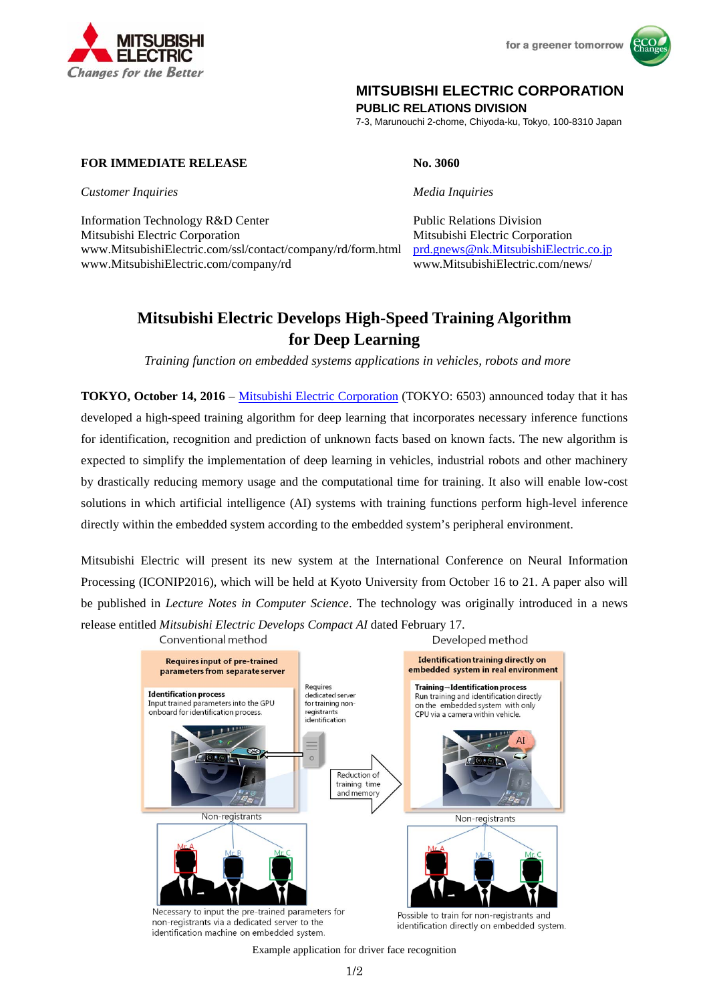

for a greener tomorrow



## **MITSUBISHI ELECTRIC CORPORATION**

**PUBLIC RELATIONS DIVISION** 

7-3, Marunouchi 2-chome, Chiyoda-ku, Tokyo, 100-8310 Japan

## **FOR IMMEDIATE RELEASE No. 3060**

*Customer Inquiries Media Inquiries* 

Information Technology R&D Center Public Relations Division Mitsubishi Electric Corporation Mitsubishi Electric Corporation www.MitsubishiElectric.com/ssl/contact/company/rd/form.html prd.gnews@nk.MitsubishiElectric.co.jp www.MitsubishiElectric.com/company/rd www.MitsubishiElectric.com/news/

# **Mitsubishi Electric Develops High-Speed Training Algorithm for Deep Learning**

*Training function on embedded systems applications in vehicles, robots and more* 

**TOKYO, October 14, 2016** – Mitsubishi Electric Corporation (TOKYO: 6503) announced today that it has developed a high-speed training algorithm for deep learning that incorporates necessary inference functions for identification, recognition and prediction of unknown facts based on known facts. The new algorithm is expected to simplify the implementation of deep learning in vehicles, industrial robots and other machinery by drastically reducing memory usage and the computational time for training. It also will enable low-cost solutions in which artificial intelligence (AI) systems with training functions perform high-level inference directly within the embedded system according to the embedded system's peripheral environment.

Mitsubishi Electric will present its new system at the International Conference on Neural Information Processing (ICONIP2016), which will be held at Kyoto University from October 16 to 21. A paper also will be published in *Lecture Notes in Computer Science*. The technology was originally introduced in a news release entitled *Mitsubishi Electric Develops Compact AI* dated February 17.



Example application for driver face recognition